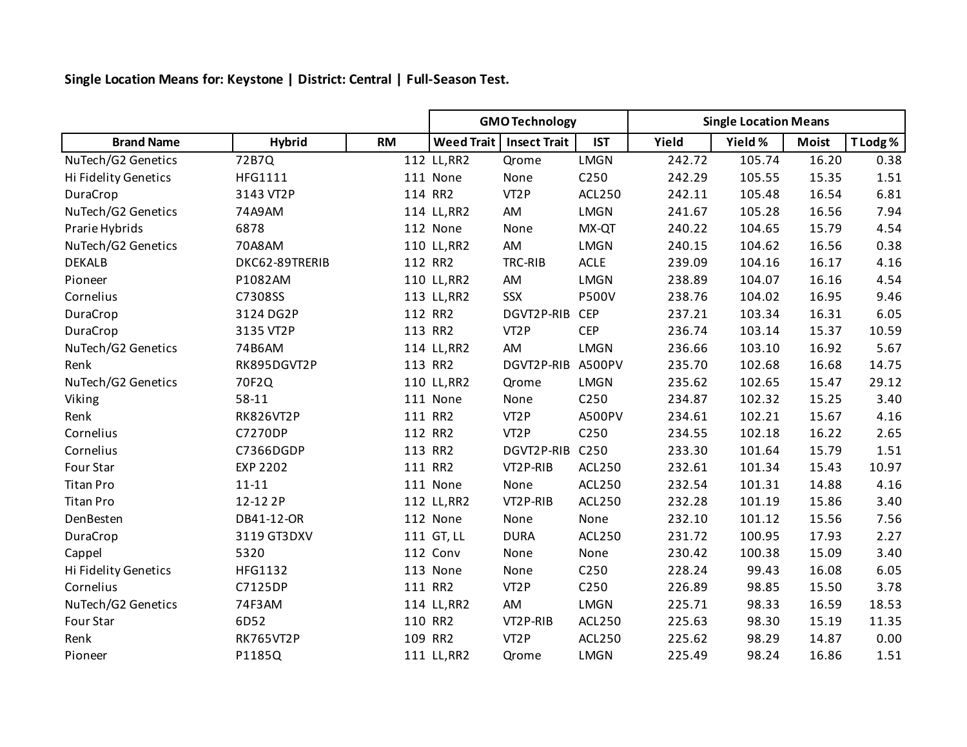**Single Location Means for: Keystone | District: Central | Full-Season Test.**

|                      |                  |           | <b>GMO Technology</b> |                     |                  | <b>Single Location Means</b> |         |              |          |
|----------------------|------------------|-----------|-----------------------|---------------------|------------------|------------------------------|---------|--------------|----------|
| <b>Brand Name</b>    | <b>Hybrid</b>    | <b>RM</b> | <b>Weed Trait</b>     | <b>Insect Trait</b> | <b>IST</b>       | Yield                        | Yield % | <b>Moist</b> | T Lodg % |
| NuTech/G2 Genetics   | 72B7Q            |           | 112 LL, RR2           | Qrome               | <b>LMGN</b>      | 242.72                       | 105.74  | 16.20        | 0.38     |
| Hi Fidelity Genetics | HFG1111          |           | 111 None              | None                | C250             | 242.29                       | 105.55  | 15.35        | 1.51     |
| DuraCrop             | 3143 VT2P        |           | 114 RR2               | VT <sub>2</sub> P   | ACL250           | 242.11                       | 105.48  | 16.54        | 6.81     |
| NuTech/G2 Genetics   | 74A9AM           |           | 114 LL, RR2           | AM                  | <b>LMGN</b>      | 241.67                       | 105.28  | 16.56        | 7.94     |
| Prarie Hybrids       | 6878             |           | 112 None              | None                | MX-QT            | 240.22                       | 104.65  | 15.79        | 4.54     |
| NuTech/G2 Genetics   | 70A8AM           |           | 110 LL, RR2           | AM                  | <b>LMGN</b>      | 240.15                       | 104.62  | 16.56        | 0.38     |
| <b>DEKALB</b>        | DKC62-89TRERIB   |           | 112 RR2               | TRC-RIB             | <b>ACLE</b>      | 239.09                       | 104.16  | 16.17        | 4.16     |
| Pioneer              | P1082AM          |           | 110 LL, RR2           | AM                  | <b>LMGN</b>      | 238.89                       | 104.07  | 16.16        | 4.54     |
| Cornelius            | C7308SS          |           | 113 LL, RR2           | <b>SSX</b>          | <b>P500V</b>     | 238.76                       | 104.02  | 16.95        | 9.46     |
| DuraCrop             | 3124 DG2P        |           | 112 RR2               | DGVT2P-RIB          | <b>CEP</b>       | 237.21                       | 103.34  | 16.31        | 6.05     |
| DuraCrop             | 3135 VT2P        |           | 113 RR2               | VT <sub>2</sub> P   | <b>CEP</b>       | 236.74                       | 103.14  | 15.37        | 10.59    |
| NuTech/G2 Genetics   | 74B6AM           |           | 114 LL, RR2           | AM                  | <b>LMGN</b>      | 236.66                       | 103.10  | 16.92        | 5.67     |
| Renk                 | RK895DGVT2P      |           | 113 RR2               | DGVT2P-RIB          | A500PV           | 235.70                       | 102.68  | 16.68        | 14.75    |
| NuTech/G2 Genetics   | 70F2Q            |           | 110 LL, RR2           | Qrome               | <b>LMGN</b>      | 235.62                       | 102.65  | 15.47        | 29.12    |
| Viking               | 58-11            |           | 111 None              | None                | C250             | 234.87                       | 102.32  | 15.25        | 3.40     |
| Renk                 | <b>RK826VT2P</b> |           | 111 RR2               | VT <sub>2</sub> P   | A500PV           | 234.61                       | 102.21  | 15.67        | 4.16     |
| Cornelius            | C7270DP          |           | 112 RR2               | VT <sub>2</sub> P   | C250             | 234.55                       | 102.18  | 16.22        | 2.65     |
| Cornelius            | C7366DGDP        |           | 113 RR2               | DGVT2P-RIB          | C <sub>250</sub> | 233.30                       | 101.64  | 15.79        | 1.51     |
| Four Star            | <b>EXP 2202</b>  |           | 111 RR2               | VT2P-RIB            | <b>ACL250</b>    | 232.61                       | 101.34  | 15.43        | 10.97    |
| <b>Titan Pro</b>     | $11 - 11$        |           | 111 None              | None                | ACL250           | 232.54                       | 101.31  | 14.88        | 4.16     |
| <b>Titan Pro</b>     | 12-12 2P         |           | 112 LL, RR2           | VT2P-RIB            | ACL250           | 232.28                       | 101.19  | 15.86        | 3.40     |
| DenBesten            | DB41-12-OR       |           | 112 None              | None                | None             | 232.10                       | 101.12  | 15.56        | 7.56     |
| DuraCrop             | 3119 GT3DXV      |           | 111 GT, LL            | <b>DURA</b>         | ACL250           | 231.72                       | 100.95  | 17.93        | 2.27     |
| Cappel               | 5320             |           | 112 Conv              | None                | None             | 230.42                       | 100.38  | 15.09        | 3.40     |
| Hi Fidelity Genetics | HFG1132          |           | 113 None              | None                | C250             | 228.24                       | 99.43   | 16.08        | 6.05     |
| Cornelius            | C7125DP          |           | 111 RR2               | VT <sub>2</sub> P   | C250             | 226.89                       | 98.85   | 15.50        | 3.78     |
| NuTech/G2 Genetics   | 74F3AM           |           | 114 LL, RR2           | AM                  | <b>LMGN</b>      | 225.71                       | 98.33   | 16.59        | 18.53    |
| Four Star            | 6D52             |           | 110 RR2               | VT2P-RIB            | ACL250           | 225.63                       | 98.30   | 15.19        | 11.35    |
| Renk                 | <b>RK765VT2P</b> |           | 109 RR2               | VT <sub>2</sub> P   | <b>ACL250</b>    | 225.62                       | 98.29   | 14.87        | 0.00     |
| Pioneer              | P1185Q           |           | 111 LL, RR2           | Qrome               | <b>LMGN</b>      | 225.49                       | 98.24   | 16.86        | 1.51     |